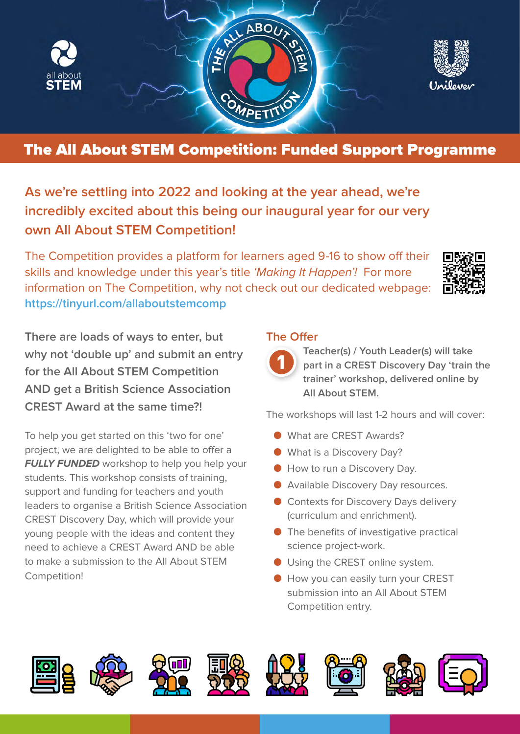

## The All About STEM Competition: Funded Support Programme

**As we're settling into 2022 and looking at the year ahead, we're incredibly excited about this being our inaugural year for our very own All About STEM Competition!** 

The Competition provides a platform for learners aged 9-16 to show off their skills and knowledge under this year's title 'Making It Happen'! For more information on The Competition, why not check out our dedicated webpage: **<https://tinyurl.com/allaboutstemcomp>**



**There are loads of ways to enter, but why not 'double up' and submit an entry for the All About STEM Competition AND get a British Science Association CREST Award at the same time?!**

To help you get started on this 'two for one' project, we are delighted to be able to offer a **FULLY FUNDED** workshop to help you help your students. This workshop consists of training, support and funding for teachers and youth leaders to organise a British Science Association CREST Discovery Day, which will provide your young people with the ideas and content they need to achieve a CREST Award AND be able to make a submission to the All About STEM Competition!

## **The Offer**



**Teacher(s) / Youth Leader(s) will take part in a CREST Discovery Day 'train the trainer' workshop, delivered online by All About STEM.** 

The workshops will last 1-2 hours and will cover:

- What are CREST Awards?
- What is a Discovery Day?
- How to run a Discovery Day.
- Available Discovery Day resources.
- Contexts for Discovery Days delivery (curriculum and enrichment).
- The benefits of investigative practical science project-work.
- Using the CREST online system.
- How you can easily turn your CREST submission into an All About STEM Competition entry.